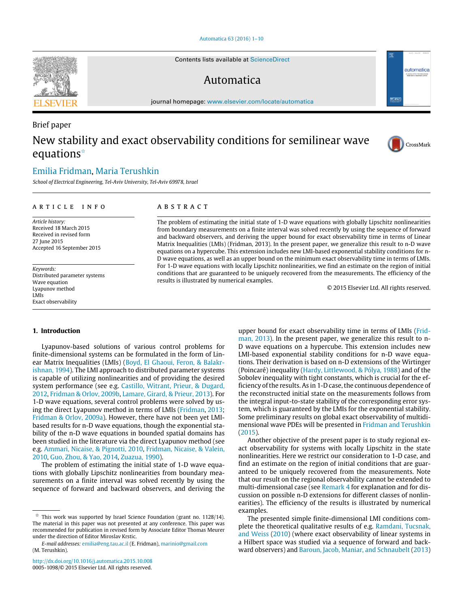[Automatica 63 \(2016\) 1–10](http://dx.doi.org/10.1016/j.automatica.2015.10.008)

Contents lists available at [ScienceDirect](http://www.elsevier.com/locate/automatica)

# Automatica

journal homepage: [www.elsevier.com/locate/automatica](http://www.elsevier.com/locate/automatica)

# New stability and exact observability conditions for semilinear wave equations[✩](#page-0-0)

# [Emilia Fridman,](#page-9-0) [Maria Terushkin](#page-9-1)

*School of Electrical Engineering, Tel-Aviv University, Tel-Aviv 69978, Israel*

#### ARTICLE INFO

*Article history:* Received 18 March 2015 Received in revised form 27 June 2015 Accepted 16 September 2015

*Keywords:* Distributed parameter systems Wave equation Lyapunov method LMIs Exact observability

# A B S T R A C T

The problem of estimating the initial state of 1-D wave equations with globally Lipschitz nonlinearities from boundary measurements on a finite interval was solved recently by using the sequence of forward and backward observers, and deriving the upper bound for exact observability time in terms of Linear Matrix Inequalities (LMIs) (Fridman, 2013). In the present paper, we generalize this result to n-D wave equations on a hypercube. This extension includes new LMI-based exponential stability conditions for n-D wave equations, as well as an upper bound on the minimum exact observability time in terms of LMIs. For 1-D wave equations with locally Lipschitz nonlinearities, we find an estimate on the region of initial conditions that are guaranteed to be uniquely recovered from the measurements. The efficiency of the results is illustrated by numerical examples.

© 2015 Elsevier Ltd. All rights reserved.

### **1. Introduction**

Lyapunov-based solutions of various control problems for finite-dimensional systems can be formulated in the form of Lin[e](#page-9-2)ar Matrix Inequalities (LMIs) [\(Boyd,](#page-9-2) [El](#page-9-2) [Ghaoui,](#page-9-2) [Feron,](#page-9-2) [&](#page-9-2) [Balakr](#page-9-2)[ishnan,](#page-9-2) [1994\)](#page-9-2). The LMI approach to distributed parameter systems is capable of utilizing nonlinearities and of providing the desired system performance (see e.g. [Castillo,](#page-9-3) [Witrant,](#page-9-3) [Prieur,](#page-9-3) [&](#page-9-3) [Dugard,](#page-9-3) [2012,](#page-9-3) [Fridman](#page-9-4) [&](#page-9-4) [Orlov,](#page-9-4) [2009b,](#page-9-4) [Lamare,](#page-9-5) [Girard,](#page-9-5) [&](#page-9-5) [Prieur,](#page-9-5) [2013\)](#page-9-5). For 1-D wave equations, several control problems were solved by using the direct Lyapunov method in terms of LMIs [\(Fridman,](#page-9-6) [2013;](#page-9-6) [Fridman](#page-9-7) [&](#page-9-7) [Orlov,](#page-9-7) [2009a\)](#page-9-7). However, there have not been yet LMIbased results for n-D wave equations, though the exponential stability of the n-D wave equations in bounded spatial domains has been studied in the literature via the direct Lyapunov method (see e.g. [Ammari,](#page-8-0) [Nicaise,](#page-8-0) [&](#page-8-0) [Pignotti,](#page-8-0) [2010,](#page-8-0) [Fridman,](#page-9-8) [Nicaise,](#page-9-8) [&](#page-9-8) [Valein,](#page-9-8) [2010,](#page-9-8) [Guo,](#page-9-9) [Zhou,](#page-9-9) [&](#page-9-9) [Yao,](#page-9-9) [2014,](#page-9-9) [Zuazua,](#page-9-10) [1990\)](#page-9-10).

The problem of estimating the initial state of 1-D wave equations with globally Lipschitz nonlinearities from boundary measurements on a finite interval was solved recently by using the sequence of forward and backward observers, and deriving the [u](#page-9-6)pper bound for exact observability time in terms of LMIs [\(Frid](#page-9-6)[man,](#page-9-6) [2013\)](#page-9-6). In the present paper, we generalize this result to n-D wave equations on a hypercube. This extension includes new LMI-based exponential stability conditions for n-D wave equations. Their derivation is based on n-D extensions of the Wirtinger (Poincaré) inequality [\(Hardy,](#page-9-11) [Littlewood,](#page-9-11) [&](#page-9-11) [Pólya,](#page-9-11) [1988\)](#page-9-11) and of the Sobolev inequality with tight constants, which is crucial for the efficiency of the results. As in 1-D case, the continuous dependence of the reconstructed initial state on the measurements follows from the integral input-to-state stability of the corresponding error system, which is guaranteed by the LMIs for the exponential stability. Some preliminary results on global exact observability of multidimensional wave PDEs will be presented in [Fridman](#page-9-12) [and](#page-9-12) [Terushkin](#page-9-12) [\(2015\)](#page-9-12). Another objective of the present paper is to study regional ex-

act observability for systems with locally Lipschitz in the state nonlinearities. Here we restrict our consideration to 1-D case, and find an estimate on the region of initial conditions that are guaranteed to be uniquely recovered from the measurements. Note that our result on the regional observability cannot be extended to multi-dimensional case (see [Remark 4](#page-8-1) for explanation and for discussion on possible n-D extensions for different classes of nonlinearities). The efficiency of the results is illustrated by numerical examples.

The presented simple finite-dimensional LMI conditions complete the theoretical qualitative results of e.g. [Ramdani,](#page-9-13) [Tucsnak,](#page-9-13) [and](#page-9-13) [Weiss](#page-9-13) [\(2010\)](#page-9-13) (where exact observability of linear systems in a Hilbert space was studied via a sequence of forward and backward observers) and [Baroun,](#page-9-14) [Jacob,](#page-9-14) [Maniar,](#page-9-14) [and](#page-9-14) [Schnaubelt](#page-9-14) [\(2013\)](#page-9-14)



Brief paper



 $\sigma$  IFA

automatica

<span id="page-0-0"></span> $\overrightarrow{x}$  This work was supported by Israel Science Foundation (grant no. 1128/14). The material in this paper was not presented at any conference. This paper was recommended for publication in revised form by Associate Editor Thomas Meurer under the direction of Editor Miroslav Krstic.

*E-mail addresses:* [emilia@eng.tau.ac.il](mailto:emilia@eng.tau.ac.il) (E. Fridman), [marinio@gmail.com](mailto:marinio@gmail.com) (M. Terushkin).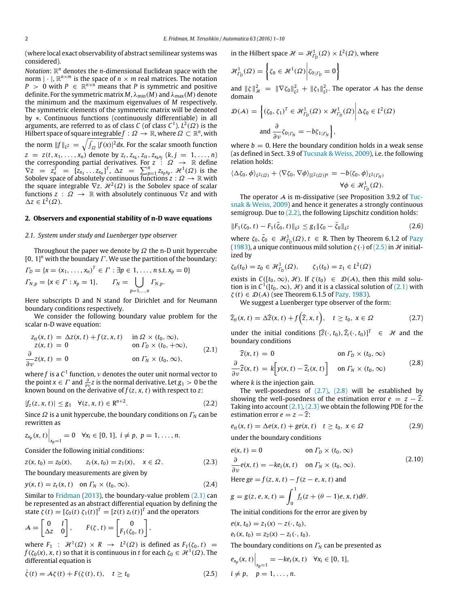(where local exact observability of abstract semilinear systems was considered).

*Notation*: R *<sup>n</sup>* denotes the *n*-dimensional Euclidean space with the norm  $|\cdot|$ ,  $\mathbb{R}^{n\times m}$  is the space of  $n\times m$  real matrices. The notation  $P > 0$  with  $P \in \mathbb{R}^{n \times n}$  means that *P* is symmetric and positive definite. For the symmetric matrix  $M$ ,  $\lambda_{\min}(M)$  and  $\lambda_{\max}(M)$  denote the minimum and the maximum eigenvalues of *M* respectively. The symmetric elements of the symmetric matrix will be denoted by ∗. Continuous functions (continuously differentiable) in all arguments, are referred to as of class *C* (of class *C* 1 ). *L* 2 (Ω) is the Hilbert space of square integrable $f:\varOmega\to\mathbb{R}$ , where  $\varOmega\subset\mathbb{R}^n$ , with the norm  $||f||_{L^2} = \sqrt{\int_{\Omega} |f(x)|^2 dx}$ . For the scalar smooth function  $z = z(t, x_1, \ldots, x_n)$  denote by  $z_t, z_{x_k}, z_{tt}, z_{x_k}$ ,  $(z_{x_k}$ <sub>*x*</sub><sub>*i*</sub>  $)$  = 1, ..., *n*) the corresponding partial derivatives. For *z*  $\colon \Omega \to \mathbb{R}$  define  $\nabla z = z_x^{\hat{T}} = [\bar{z}_{x_1} \dots z_{x_n}]^T$ ,  $\Delta z = \sum_{p=1}^n z_{x_p x_p}$ .  $\mathcal{H}^1(\Omega)$  is the Sobolev space of absolutely continuous functions  $z : \Omega \to \mathbb{R}$  with the square integrable  $\nabla z$ .  $\mathcal{H}^2(\varOmega)$  is the Sobolev space of scalar functions  $z : \Omega \rightarrow \mathbb{R}$  with absolutely continuous  $\nabla z$  and with  $\Delta z \in L^2(\Omega)$ .

## <span id="page-1-10"></span>**2. Observers and exponential stability of n-D wave equations**

#### *2.1. System under study and Luenberger type observer*

Throughout the paper we denote by  $\Omega$  the n-D unit hypercube [0,  $1$ ]<sup>n</sup> with the boundary  $\Gamma$ . We use the partition of the boundary:

$$
\Gamma_D = \{x = (x_1, \dots, x_n)^T \in \Gamma : \exists p \in 1, \dots, n \text{ s.t. } x_p = 0\}
$$
  

$$
\Gamma_{N,p} = \{x \in \Gamma : x_p = 1\}, \qquad \Gamma_N = \bigcup_{p=1,\dots,n} \Gamma_{N,p}.
$$

Here subscripts D and N stand for Dirichlet and for Neumann boundary conditions respectively.

We consider the following boundary value problem for the scalar n-D wave equation:

$$
z_{tt}(x, t) = \Delta z(x, t) + f(z, x, t) \quad \text{in } \Omega \times (t_0, \infty),
$$
  
\n
$$
z(x, t) = 0 \quad \text{on } \Gamma_D \times (t_0, +\infty),
$$
  
\n
$$
\frac{\partial}{\partial v} z(x, t) = 0 \quad \text{on } \Gamma_N \times (t_0, \infty),
$$
  
\n(2.1)

where  $f$  is a  $\mathsf{C}^1$  function,  $\nu$  denotes the outer unit normal vector to the point *x*  $\in \Gamma$  and  $\frac{\partial}{\partial v}z$  is the normal derivative. Let  $g_1 > 0$  be the known bound on the derivative of  $f(z, x, t)$  with respect to *z*:

$$
|f_z(z, x, t)| \le g_1 \quad \forall (z, x, t) \in \mathbb{R}^{n+2}.
$$
 (2.2)

Since Ω is a unit hypercube, the boundary conditions on Γ*<sup>N</sup>* can be rewritten as

$$
z_{x_p}(x, t)\Big|_{x_p=1}=0 \quad \forall x_i \in [0, 1], \ i \neq p, \ p=1, \ldots, n.
$$

Consider the following initial conditions:

$$
z(x, t_0) = z_0(x), \qquad z_t(x, t_0) = z_1(x), \quad x \in \Omega. \tag{2.3}
$$

The boundary measurements are given by

$$
y(x, t) = z_t(x, t) \quad \text{on } \Gamma_N \times (t_0, \infty). \tag{2.4}
$$

Similar to [Fridman](#page-9-6) [\(2013\)](#page-9-6), the boundary-value problem  $(2.1)$  can be represented as an abstract differential equation by defining the state  $\zeta(t) = [\zeta_0(t) \ \zeta_1(t)]^T = [z(t) \ z_t(t)]^T$  and the operators

$$
A = \begin{bmatrix} 0 & I \\ \Delta z & 0 \end{bmatrix}, \qquad F(\zeta, t) = \begin{bmatrix} 0 \\ F_1(\zeta_0, t) \end{bmatrix},
$$

where  $F_1$  :  $\mathcal{H}^1(\Omega) \times R \to L^2(\Omega)$  is defined as  $F_1(\zeta_0, t) =$  $f(\zeta_0(x),x,t)$  so that it is continuous in  $t$  for each  $\zeta_0 \in \mathcal{H}^1(\Omega)$ . The differential equation is

$$
\dot{\zeta}(t) = \mathcal{A}\zeta(t) + F(\zeta(t), t), \quad t \ge t_0 \tag{2.5}
$$

in the Hilbert space  $\mathcal{H} = \mathcal{H}_{I_D}^1(\Omega) \times L^2(\Omega)$ , where

$$
\mathcal{H}_{\varGamma_D}^1(\varOmega)=\left\{\zeta_0\in\mathcal{H}^1(\varOmega)\bigg|\zeta_0_{|\varGamma_D}=0\right\}
$$

and  $\|\zeta\|_{\mathcal{H}}^2 = \|\nabla \zeta_0\|_{L^2}^2 + \|\zeta_1\|_{L^2}^2$ . The operator A has the dense domain

$$
\mathcal{D}(\mathcal{A}) = \left\{ (\zeta_0, \zeta_1)^T \in \mathcal{H}_{\Gamma_D}^1(\Omega) \times \mathcal{H}_{\Gamma_D}^1(\Omega) \middle| \Delta \zeta_0 \in L^2(\Omega) \right\}
$$
  
and 
$$
\frac{\partial}{\partial \nu} \zeta_{0|\Gamma_N} = -b \zeta_{1|\Gamma_N} \right\},
$$

where  $b = 0$ . Here the boundary condition holds in a weak sense (as defined in Sect. 3.9 of [Tucsnak](#page-9-15) [&](#page-9-15) [Weiss,](#page-9-15) [2009\)](#page-9-15), i.e. the following relation holds:

$$
\langle \Delta \zeta_0, \phi \rangle_{L^2(\Omega)} + \langle \nabla \zeta_0, \nabla \phi \rangle_{[L^2(\Omega)]^n} = -b \langle \zeta_0, \phi \rangle_{L^2(\Gamma_N)}
$$
  

$$
\forall \phi \in \mathcal{H}_{\Gamma_D}^1(\Omega).
$$

The operator A is m-dissipative (see Proposition 3.9.2 of [Tuc](#page-9-15)[snak](#page-9-15) [&](#page-9-15) [Weiss,](#page-9-15) [2009\)](#page-9-15) and hence it generates a strongly continuous semigroup. Due to  $(2.2)$ , the following Lipschitz condition holds:

$$
||F_1(\zeta_0, t) - F_1(\bar{\zeta}_0, t)||_{L^2} \le g_1 ||\zeta_0 - \bar{\zeta}_0||_{L^2}
$$
\n(2.6)

<span id="page-1-6"></span>where  $\zeta_0$ ,  $\bar{\zeta}_0 \in \mathcal{H}_{\Gamma_D}^1(\Omega)$ ,  $t \in \mathbb{R}$ . Then by Theorem 6.1.2 of [Pazy](#page-9-16) [\(1983\)](#page-9-16), a unique continuous mild solution  $\zeta(\cdot)$  of [\(2.5\)](#page-1-2) in H initialized by

$$
\zeta_0(t_0) = z_0 \in \mathcal{H}_{\Gamma_D}^1(\Omega), \qquad \zeta_1(t_0) = z_1 \in L^2(\Omega)
$$

exists in  $C([t_0,\infty), \mathcal{H})$ . If  $\zeta(t_0) \in \mathcal{D}(\mathcal{A})$ , then this mild solution is in  $C^1([t_0,\infty), \mathcal{H})$  and it is a classical solution of [\(2.1\)](#page-1-0) with  $\zeta(t) \in \mathcal{D}(\mathcal{A})$  (see Theorem 6.1.5 of [Pazy,](#page-9-16) [1983\)](#page-9-16).

<span id="page-1-3"></span>We suggest a Luenberger type observer of the form:

$$
\widehat{z}_{tt}(x,t) = \Delta \widehat{z}(x,t) + f(\widehat{z},x,t), \quad t \ge t_0, \ x \in \Omega \tag{2.7}
$$

<span id="page-1-0"></span>under the initial conditions  $[\hat{z}(\cdot, t_0), \hat{z}_t(\cdot, t_0)]^T \in \mathcal{H}$  and the boundary conditions boundary conditions

<span id="page-1-4"></span>
$$
\widehat{z}(x, t) = 0 \qquad \text{on } \Gamma_D \times (t_0, \infty)
$$

$$
\frac{\partial}{\partial v}\widehat{z}(x,t) = k \Big[ y(x,t) - \widehat{z}_t(x,t) \Big] \quad \text{on } \Gamma_N \times (t_0, \infty)
$$
 (2.8)

where *k* is the injection gain.

<span id="page-1-1"></span>The well-posedness of  $(2.7)$ ,  $(2.8)$  will be established by showing the well-posedness of the estimation error  $e = z - \hat{z}$ . Taking into account  $(2.1)$ ,  $(2.3)$  we obtain the following PDE for the estimation error  $e = z - \widehat{z}$ :

<span id="page-1-7"></span>
$$
e_{tt}(x, t) = \Delta e(x, t) + g e(x, t) \quad t \ge t_0, \ x \in \Omega \tag{2.9}
$$

under the boundary conditions

<span id="page-1-8"></span><span id="page-1-5"></span>
$$
e(x, t) = 0 \qquad \text{on } \Gamma_D \times (t_0, \infty)
$$
  
\n
$$
\frac{\partial}{\partial \nu} e(x, t) = -ke_t(x, t) \quad \text{on } \Gamma_N \times (t_0, \infty).
$$
  
\nHere  $ge = f(z, x, t) - f(z - e, x, t)$  and

<span id="page-1-9"></span>
$$
g = g(z, e, x, t) = \int_0^1 f_z(z + (\theta - 1)e, x, t) d\theta.
$$

The initial conditions for the error are given by

$$
e(x, t_0) = z_1(x) - z(\cdot, t_0),
$$
  
\n
$$
e_t(x, t_0) = z_2(x) - z_t(\cdot, t_0).
$$

The boundary conditions on  $\Gamma_N$  can be presented as

<span id="page-1-2"></span>
$$
e_{x_p}(x, t)
$$
 $\Big|_{x_p=1} = -ke_t(x, t) \quad \forall x_i \in [0, 1],$   
 $i \neq p, \quad p = 1, ..., n.$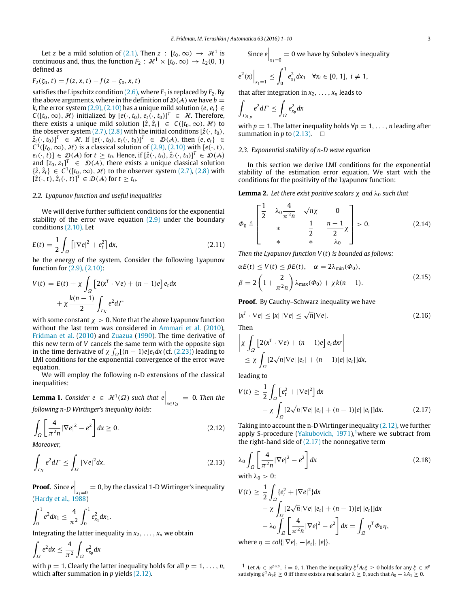Let *z* be a mild solution of [\(2.1\).](#page-1-0) Then  $z : [t_0, \infty) \rightarrow \mathcal{H}^1$  is continuous and, thus, the function  $F_2$  :  $\mathcal{H}^1 \times [t_0, \infty) \rightarrow L_2(0, 1)$ defined as

$$
F_2(\zeta_0, t) = f(z, x, t) - f(z - \zeta_0, x, t)
$$

satisfies the Lipschitz condition  $(2.6)$ , where  $F_1$  is replaced by  $F_2$ . By the above arguments, where in the definition of  $\mathcal{D}(\mathcal{A})$  we have  $b =$ *k*, the error system [\(2.9\),](#page-1-7) [\(2.10\)](#page-1-8) has a unique mild solution {*e*,  $e_t$ } ∈ *C*([*t*<sub>0</sub>, ∞), *H*) initialized by [ $e$ (·, *t*<sub>0</sub>),  $e$ <sub>*t*</sub>(·, *t*<sub>0</sub>)]<sup>*T*</sup> ∈ *H*. Therefore, there exists a unique mild solution  $\{\hat{z}, \hat{z}_t\} \in C([t_0, \infty), \mathcal{H})$  to the observer system  $(2.7)$ ,  $(2.8)$  with the initial conditions  $[\hat{z}(\cdot, t_0),$  $\hat{z}_t(\cdot, t_0)\]^\text{T} \in \mathcal{H}$ . If  $[e(\cdot, t_0), e_t(\cdot, t_0)]^\text{T} \in \mathcal{D}(\mathcal{A})$ , then  $\{e, e_t\} \in$  $C^1([t_0, \infty), \mathcal{H})$  is a classical solution of [\(2.9\),](#page-1-7) [\(2.10\)](#page-1-8) with [ $e(\cdot, t)$ , *e*<sub>t</sub>(·, *t*)</sub> $]$  ∈  $\mathcal{D}(\mathcal{A})$  for  $t \ge t_0$ . Hence, if  $[\hat{z}(\cdot, t_0), \hat{z}_t(\cdot, t_0)]^T$  ∈  $\mathcal{D}(\mathcal{A})$ and  $[z_0, z_1]^T \in \mathcal{D}(\mathcal{A})$ , there exists a unique classical solution { $\hat{z}$ ,  $\hat{z}_t$ } ∈ *C*<sup>1</sup>([*t*<sub>0</sub>, ∞), *H* $)$  to the observer system [\(2.7\),](#page-1-3) [\(2.8\)](#page-1-4) with  $[\hat{z}(\cdot,t), \hat{z}_t(\cdot,t)]^T \in \mathcal{D}(\mathcal{A})$  for  $t \geq t_0$ .

#### *2.2. Lyapunov function and useful inequalities*

We will derive further sufficient conditions for the exponential stability of the error wave equation  $(2.9)$  under the boundary conditions [\(2.10\).](#page-1-8) Let

$$
E(t) = \frac{1}{2} \int_{\Omega} \left[ |\nabla e|^2 + e_t^2 \right] dx, \tag{2.11}
$$

be the energy of the system. Consider the following Lyapunov function for [\(2.9\),](#page-1-7) [\(2.10\):](#page-1-8)

$$
V(t) = E(t) + \chi \int_{\Omega} \left[ 2(x^T \cdot \nabla e) + (n - 1)e \right] e_t dx
$$

$$
+ \chi \frac{k(n-1)}{2} \int_{\Gamma_N} e^2 d\Gamma
$$

with some constant  $\chi > 0$ . Note that the above Lyapunov function without the last term was considered in [Ammari](#page-8-0) [et al.](#page-8-0) [\(2010\)](#page-8-0), [Fridman](#page-9-8) [et al.](#page-9-8) [\(2010\)](#page-9-8) and [Zuazua](#page-9-10) [\(1990\)](#page-9-10). The time derivative of this new term of *V* cancels the same term with the opposite sign in the time derivative of  $\chi \int_{\Omega} [(n-1)e] e_t dx$  (cf. [\(2.23\)\)](#page-3-0) leading to LMI conditions for the exponential convergence of the error wave equation.

We will employ the following n-D extensions of the classical inequalities:

<span id="page-2-8"></span>**Lemma 1.** *Consider e*  $\in$   $\mathcal{H}^1(\Omega)$  *such that e*  $|_{x \in \Gamma_D} = 0$ *. Then the following n-D Wirtinger's inequality holds:*

$$
\int_{\Omega} \left[ \frac{4}{\pi^2 n} |\nabla e|^2 - e^2 \right] dx \ge 0.
$$
\n(2.12)

*Moreover,*

$$
\int_{\varGamma_N} e^2 d\varGamma \le \int_{\varOmega} |\nabla e|^2 dx. \tag{2.13}
$$

**Proof.** Since  $e\Big|_{x_1=0} = 0$ , by the classical 1-D Wirtinger's inequality [\(Hardy](#page-9-11) [et al.,](#page-9-11) [1988\)](#page-9-11)

$$
\int_0^1 e^2 dx_1 \leq \frac{4}{\pi^2} \int_0^1 e_{x_1}^2 dx_1.
$$

Integrating the latter inequality in  $x_2, \ldots, x_n$  we obtain

 $\overline{a}$ Ω  $e^2 dx \leq \frac{4}{4}$  $\pi^2$  $\overline{\phantom{a}}$ Ω  $e_{x_p}^2$ *dx* 

with  $p = 1$ . Clearly the latter inequality holds for all  $p = 1, \ldots, n$ , which after summation in *p* yields [\(2.12\).](#page-2-0)

Since 
$$
e\Big|_{x_1=0} = 0
$$
 we have by Sobolev's inequality

$$
e^2(x)\Big|_{x_1=1} \leq \int_0^1 e_{x_1}^2 dx_1 \quad \forall x_i \in [0, 1], i \neq 1,
$$

that after integration in  $x_2, \ldots, x_n$  leads to

$$
\int_{\varGamma_{N,p}}e^2 d\varGamma \leq \int_{\varOmega}e_{x_p}^2 dx
$$

with  $p = 1$ . The latter inequality holds  $\forall p = 1, \ldots, n$  leading after summation in *p* to  $(2.13)$ .  $\Box$ 

# *2.3. Exponential stability of n-D wave equation*

In this section we derive LMI conditions for the exponential stability of the estimation error equation. We start with the conditions for the positivity of the Lyapunov function:

**Lemma 2.** Let there exist positive scalars  $\chi$  and  $\lambda_0$  such that

<span id="page-2-5"></span>
$$
\varPhi_0 \triangleq \begin{bmatrix} \frac{1}{2} - \lambda_0 \frac{4}{\pi^2 n} & \sqrt{n} \chi & 0 \\ * & \frac{1}{2} & \frac{n-1}{2} \chi \\ * & * & \lambda_0 \end{bmatrix} > 0. \tag{2.14}
$$

*Then the Lyapunov function V*(*t*) *is bounded as follows:*

<span id="page-2-4"></span>
$$
\alpha E(t) \le V(t) \le \beta E(t), \quad \alpha = 2\lambda_{\min}(\Phi_0),
$$
  

$$
\beta = 2\left(1 + \frac{2}{\pi^2 n}\right)\lambda_{\max}(\Phi_0) + \chi k(n-1).
$$
 (2.15)

**Proof.** By Cauchy–Schwarz inequality we have

$$
|x^T \cdot \nabla e| \le |x| \, |\nabla e| \le \sqrt{n} |\nabla e|.
$$
 (2.16)

$$
\left| \chi \int_{\Omega} \left[ 2(x^T \cdot \nabla e) + (n-1)e \right] e_t dx \right|
$$
  

$$
< \chi \int \left[ 2\sqrt{n} |\nabla e| |e_t| + (n-1)|e| \right]
$$

<span id="page-2-6"></span><span id="page-2-3"></span>
$$
\leq \chi \int_{\Omega} [2\sqrt{n} |\nabla e| |e_t| + (n-1)|e| |e_t|] dx,
$$

leading to

$$
V(t) \ge \frac{1}{2} \int_{\Omega} \left[ e_t^2 + |\nabla e|^2 \right] dx
$$
  
-  $\chi \int_{\Omega} \left[ 2\sqrt{n} |\nabla e| |e_t| + (n-1)|e| |e_t| \right] dx.$  (2.17)

<span id="page-2-0"></span>Taking into account the n-D Wirtinger inequality [\(2.12\),](#page-2-0) we further apply S-procedure [\(Yakubovich,](#page-9-17)  $1971$  $1971$ ),<sup>1</sup>where we subtract from the right-hand side of  $(2.17)$  the nonnegative term

<span id="page-2-7"></span><span id="page-2-1"></span>
$$
\lambda_0 \int_{\Omega} \left[ \frac{4}{\pi^2 n} |\nabla e|^2 - e^2 \right] dx
$$
\n
$$
\text{with } \lambda_0 > 0;
$$
\n(2.18)

$$
V(t) \ge \frac{1}{2} \int_{\Omega} \{e_t^2 + |\nabla e|^2\} dx
$$
  
\n
$$
- \chi \int_{\Omega} [2\sqrt{n} |\nabla e| |e_t| + (n-1)|e| |e_t|] dx
$$
  
\n
$$
- \lambda_0 \int_{\Omega} \left[ \frac{4}{\pi^2 n} |\nabla e|^2 - e^2 \right] dx = \int_{\Omega} \eta^T \Phi_0 \eta,
$$
  
\nwhere  $\eta = \text{col}\{|\nabla e|, -|e_t|, |e| \}.$ 

<span id="page-2-2"></span><sup>1</sup> Let  $A_i \in \mathbb{R}^{p \times p}$ ,  $i = 0, 1$ . Then the inequality  $\xi^T A_0 \xi \ge 0$  holds for any  $\xi \in \mathbb{R}^p$ satisfying  $\xi^T A_1 \xi \geq 0$  iff there exists a real scalar  $\lambda \geq 0$ , such that  $A_0 - \lambda A_1 \geq 0$ .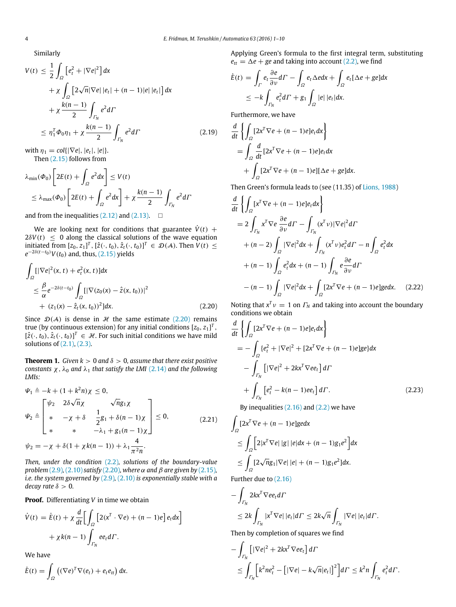Similarly

$$
V(t) \leq \frac{1}{2} \int_{\Omega} \left[ e_t^2 + |\nabla e|^2 \right] dx
$$
  
+  $\chi \int_{\Omega} \left[ 2\sqrt{n} |\nabla e| |e_t| + (n-1)|e| |e_t| \right] dx$   
+  $\chi \frac{k(n-1)}{2} \int_{\Gamma_N} e^2 d\Gamma$   
 $\leq \eta_1^T \Phi_0 \eta_1 + \chi \frac{k(n-1)}{2} \int_{\Gamma_N} e^2 d\Gamma$  (2.19)

with  $\eta_1 = \text{col}\{|\nabla e|, |e_t|, |e|\}.$ Then [\(2.15\)](#page-2-4) follows from

$$
\lambda_{\min}(\Phi_0) \left[ 2E(t) + \int_{\Omega} e^2 dx \right] \le V(t)
$$
  
\n
$$
\le \lambda_{\max}(\Phi_0) \left[ 2E(t) + \int_{\Omega} e^2 dx \right] + \chi \frac{k(n-1)}{2} \int_{\Gamma_N} e^2 d\Gamma
$$

and from the inequalities  $(2.12)$  and  $(2.13)$ .  $\Box$ 

We are looking next for conditions that guarantee  $\dot{V}(t)$  +  $2\delta V(t) \leq 0$  along the classical solutions of the wave equation initiated from  $[z_0, z_1]^T$ ,  $[\hat{z}(\cdot, t_0), \hat{z}_t(\cdot, t_0)]^T \in \mathcal{D}(\mathcal{A})$ . Then  $V(t) \leq$  $e^{-2\delta(t-t_0)}V(t_0)$  and, thus, [\(2.15\)](#page-2-4) yields

<span id="page-3-1"></span>
$$
\int_{\Omega} [|\nabla e|^2(x, t) + e_t^2(x, t)]dx
$$
\n
$$
\leq \frac{\beta}{\alpha} e^{-2\delta(t - t_0)} \int_{\Omega} [|\nabla (z_0(x) - \hat{z}(x, t_0))|^2
$$
\n
$$
+ (z_1(x) - \hat{z}_t(x, t_0))^2]dx.
$$
\n(2.20)

Since  $\mathcal{D}(\mathcal{A})$  is dense in  $\mathcal{H}$  the same estimate [\(2.20\)](#page-3-1) remains true (by continuous extension) for any initial conditions  $[z_0, z_1]^T,$  $[\hat{z}(\cdot,t_0), \hat{z}_t(\cdot,t_0)]^T \in \mathcal{H}$ . For such initial conditions we have mild solutions of [\(2.1\),](#page-1-0) [\(2.3\).](#page-1-5)

<span id="page-3-5"></span>**Theorem 1.** *Given k* > 0 *and*  $\delta$  > 0, *assume that there exist positive constants*  $\chi$ ,  $\lambda_0$  *and*  $\lambda_1$  *that satisfy the LMI* [\(2.14\)](#page-2-5) *and the following LMIs:*

$$
\Psi_{1} \triangleq -k + (1 + k^{2}n)\chi \leq 0,
$$
\n
$$
\Psi_{2} \triangleq \begin{bmatrix}\n\psi_{2} & 2\delta\sqrt{n}\chi & \sqrt{n}g_{1}\chi \\
\ast & -\chi + \delta & \frac{1}{2}g_{1} + \delta(n-1)\chi \\
\ast & \ast & -\lambda_{1} + g_{1}(n-1)\chi\n\end{bmatrix} \leq 0,
$$
\n(2.21)\n
$$
\psi_{2} = -\chi + \delta(1 + \chi k(n-1)) + \lambda_{1} \frac{4}{\pi^{2}n}.
$$

*Then, under the condition* [\(2.2\)](#page-1-1)*, solutions of the boundary-value problem* [\(2.9\)](#page-1-7), [\(2.10\)](#page-1-8) *satisfy* [\(2.20\)](#page-3-1), *where*  $\alpha$  *and*  $\beta$  *are given by* [\(2.15\)](#page-2-4)*, i.e. the system governed by* [\(2.9\)](#page-1-7)*,* [\(2.10\)](#page-1-8) *is exponentially stable with a decay rate*  $\delta > 0$ *.* 

**Proof.** Differentiating *V* in time we obtain

2

$$
\dot{V}(t) = \dot{E}(t) + \chi \frac{d}{dt} \Big[ \int_{\Omega} \left[ 2(x^T \cdot \nabla e) + (n-1)e \right] e_t dx \Big] + \chi k(n-1) \int_{\Gamma_N} e e_t d\Gamma.
$$

We have

$$
\dot{E}(t) = \int_{\Omega} \left( (\nabla e)^{T} \nabla (e_t) + e_t e_{tt} \right) dx.
$$

Applying Green's formula to the first integral term, substituting  $e_{tt} = \Delta e + g e$  and taking into account [\(2.2\),](#page-1-1) we find

$$
\dot{E}(t) = \int_{\Gamma} e_t \frac{\partial e}{\partial \nu} d\Gamma - \int_{\Omega} e_t \Delta e dx + \int_{\Omega} e_t [\Delta e + ge] dx
$$
  

$$
\leq -k \int_{\Gamma_N} e_t^2 d\Gamma + g_1 \int_{\Omega} |e| |e_t| dx.
$$

Furthermore, we have

<span id="page-3-2"></span>
$$
\frac{d}{dt} \left\{ \int_{\Omega} [2x^T \nabla e + (n-1)e] e_t dx \right\}
$$
\n
$$
= \int_{\Omega} \frac{d}{dt} [2x^T \nabla e + (n-1)e] e_t dx
$$
\n
$$
+ \int_{\Omega} [2x^T \nabla e + (n-1)e] [\Delta e + ge] dx.
$$

Then Green's formula leads to (see (11.35) of [Lions,](#page-9-18) [1988\)](#page-9-18)

$$
\frac{d}{dt} \left\{ \int_{\Omega} [\mathbf{x}^T \nabla e + (n-1)e] e_t d\mathbf{x} \right\}
$$
\n
$$
= 2 \int_{\Gamma_N} \mathbf{x}^T \nabla e \frac{\partial e}{\partial \nu} d\mathbf{\Gamma} - \int_{\Gamma_N} (\mathbf{x}^T \nu) |\nabla e|^2 d\mathbf{\Gamma} + (n-2) \int_{\Omega} |\nabla e|^2 d\mathbf{x} + \int_{\Gamma_N} (\mathbf{x}^T \nu) e_t^2 d\mathbf{\Gamma} - n \int_{\Omega} e_t^2 d\mathbf{x} + (n-1) \int_{\Omega} e_t^2 d\mathbf{x} + (n-1) \int_{\Gamma_N} e \frac{\partial e}{\partial \nu} d\mathbf{\Gamma} - (n-1) \int_{\Omega} |\nabla e|^2 d\mathbf{x} + \int_{\Omega} [2\mathbf{x}^T \nabla e + (n-1)e] \mathbf{g} e d\mathbf{x}. \quad (2.22)
$$

<span id="page-3-4"></span>Noting that  $x^T v = 1$  on  $\Gamma_N$  and taking into account the boundary conditions we obtain

$$
\frac{d}{dt} \left\{ \int_{\Omega} [2x^T \nabla e + (n-1)e] e_t dx \right\}
$$
\n
$$
= - \int_{\Omega} \left\{ e_t^2 + |\nabla e|^2 + [2x^T \nabla e + (n-1)e] g e \right\} dx
$$
\n
$$
- \int_{\Gamma_N} [|\nabla e|^2 + 2kx^T \nabla e e_t] d\Gamma
$$
\n
$$
+ \int_{\Gamma_N} \left[ e_t^2 - k(n-1)e e_t \right] d\Gamma. \tag{2.23}
$$
\nBy inequalities (2.16) and (2.2) we have

<span id="page-3-3"></span><span id="page-3-0"></span>alities [\(2.16\)](#page-2-6) and [\(2.2\)](#page-1-1) we have

$$
\int_{\Omega} [2x^T \nabla e + (n-1)e] \n\begin{cases} \n\frac{1}{2} \sum_{i=1}^T \mathbb{E}[2|x^T \nabla e_i| |g| |e| \, dx + (n-1)g_1 e^2] \, dx \\
\frac{1}{2} \int_{\Omega} [2\sqrt{n} g_1 |\nabla e| |e| + (n-1)g_1 e^2] \, dx.\n\end{cases}
$$

Further due to [\(2.16\)](#page-2-6)

$$
-\int_{\Gamma_N} 2kx^T \nabla ee_t d\Gamma
$$
  
\n
$$
\leq 2k \int_{\Gamma_N} |x^T \nabla e| |e_t| d\Gamma \leq 2k \sqrt{n} \int_{\Gamma_N} |\nabla e| |e_t| d\Gamma.
$$

Then by completion of squares we find

$$
-\int_{\Gamma_N} \left[ |\nabla e|^2 + 2kx^T \nabla e e_t \right] d\Gamma
$$
  

$$
\leq \int_{\Gamma_N} \left[ k^2 n e_t^2 - \left[ |\nabla e| - k\sqrt{n} |e_t| \right]^2 \right] d\Gamma \leq k^2 n \int_{\Gamma_N} e_t^2 d\Gamma.
$$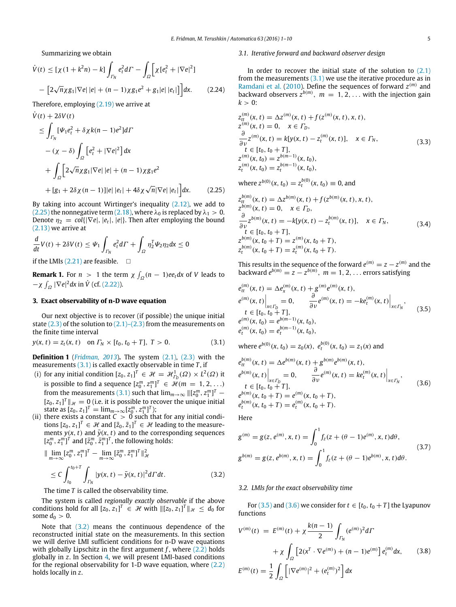Summarizing we obtain

$$
\dot{V}(t) \leq [\chi(1 + k^2 n) - k] \int_{\Gamma_N} e_t^2 d\Gamma - \int_{\Omega} \left[ \chi [e_t^2 + |\nabla e|^2] \right] - \left[ 2\sqrt{n} \chi g_1 |\nabla e| |e| + (n - 1) \chi g_1 e^2 + g_1 |e| |e_t| \right] \right] dx.
$$
 (2.24)

Therefore, employing [\(2.19\)](#page-3-2) we arrive at

$$
\dot{V}(t) + 2\delta V(t)
$$
\n
$$
\leq \int_{\Gamma_N} [\Psi_1 e_t^2 + \delta \chi k(n-1)e^2] d\Gamma
$$
\n
$$
-(\chi - \delta) \int_{\Omega} [e_t^2 + |\nabla e|^2] dx
$$
\n
$$
+ \int_{\Omega} \left[ 2\sqrt{n} \chi g_1 |\nabla e| |e| + (n-1) \chi g_1 e^2 + [g_1 + 2\delta \chi (n-1)] |e| |e_t| + 4\delta \chi \sqrt{n} |\nabla e| |e_t| \right] dx.
$$
\n(2.25)

By taking into account Wirtinger's inequality [\(2.12\),](#page-2-0) we add to [\(2.25\)](#page-4-0) the nonnegative term [\(2.18\),](#page-2-7) where  $\lambda_0$  is replaced by  $\lambda_1 > 0$ . Denote  $\eta_2 = \text{col}(|\nabla e|, |e_t|, |e|)$ . Then after employing the bound [\(2.13\)](#page-2-1) we arrive at

$$
\frac{d}{dt}V(t) + 2\delta V(t) \leq \Psi_1 \int_{\Gamma_N} e_t^2 d\Gamma + \int_{\Omega} \eta_2^T \Psi_2 \eta_2 dx \leq 0
$$

if the LMIs  $(2.21)$  are feasible.  $\Box$ 

**Remark 1.** For  $n > 1$  the term  $\chi \int_{\Omega} (n - 1) e e_t dx$  of *V* leads to  $-\chi \int_{\Omega} |\nabla e|^2 dx$  in  $\dot{V}$  (cf. [\(2.22\)\)](#page-3-4).

# <span id="page-4-8"></span>**3. Exact observability of n-D wave equation**

Our next objective is to recover (if possible) the unique initial state  $(2,3)$  of the solution to  $(2,1)$ – $(2,3)$  from the measurements on the finite time interval

$$
y(x, t) = z_t(x, t) \quad \text{on } \Gamma_N \times [t_0, t_0 + T], \ T > 0. \tag{3.1}
$$

**Definition 1** (*[Fridman,](#page-9-6) [2013](#page-9-6)*)**.** The system [\(2.1\),](#page-1-0) [\(2.3\)](#page-1-5) with the measurements [\(3.1\)](#page-4-1) is called exactly observable in time *T* , if

- (i) for any initial condition  $[z_0, z_1]^T \in \mathcal{H} = \mathcal{H}_{\Gamma_D}^1(\Omega) \times L^2(\Omega)$  it is possible to find a sequence  $[z_0^m, z_1^m]^T \in \mathcal{H}(m = 1, 2, ...)$ from the measurements [\(3.1\)](#page-4-1) such that  $\lim_{m\to\infty}$   $\|[z_0^m, z_1^m]^T$  –  $[z_0, z_1]^T$   $\| \mathcal{H} = 0$  (i.e. it is possible to recover the unique initial state as  $[z_0, z_1]^T = \lim_{m \to \infty} [z_0^m, z_1^m]^T$ );
- (ii) there exists a constant  $C > 0$  such that for any initial conditions  $[z_0, z_1]^T \in \mathcal{H}$  and  $[\bar{z}_0, \bar{z}_1]^T \in \mathcal{H}$  leading to the measurements  $y(x, t)$  and  $\bar{y}(x, t)$  and to the corresponding sequences  $[z_0^m, z_1^m]^T$  and  $[\bar{z}_0^m, \bar{z}_1^m]^T$ , the following holds:

$$
\|\lim_{m\to\infty} [z_0^m, z_1^m]^T - \lim_{m\to\infty} [\bar{z}_0^m, \bar{z}_1^m]^T\|_{\mathcal{H}}^2
$$
\n
$$
\leq C \int_{t_0}^{t_0+T} \int_{\Gamma_N} |y(x, t) - \bar{y}(x, t)|^2 d\Gamma dt. \tag{3.2}
$$

The time *T* is called the observability time.

The system is called *regionally exactly observable* if the above conditions hold for all  $[z_0, z_1]^T \in \mathcal{H}$  with  $\|[z_0, z_1]^T\|_{\mathcal{H}} \leq d_0$  for some  $d_0 > 0$ .

Note that [\(3.2\)](#page-4-2) means the continuous dependence of the reconstructed initial state on the measurements. In this section we will derive LMI sufficient conditions for n-D wave equations with globally Lipschitz in the first argument  $f$ , where  $(2.2)$  holds globally in *z*. In Section [4,](#page-7-0) we will present LMI-based conditions for the regional observability for 1-D wave equation, where [\(2.2\)](#page-1-1) holds locally in *z*.

#### *3.1. Iterative forward and backward observer design*

In order to recover the initial state of the solution to  $(2.1)$ from the measurements  $(3.1)$  we use the iterative procedure as in [Ramdani](#page-9-13) [et al.](#page-9-13) [\(2010\)](#page-9-13). Define the sequences of forward  $z^{(m)}$  and backward observers  $z^{b(m)}$ ,  $m = 1, 2, \ldots$  with the injection gain  $k > 0$ 

<span id="page-4-6"></span>
$$
z_{tt}^{(m)}(x, t) = \Delta z^{(m)}(x, t) + f(z^{(m)}(x, t), x, t),
$$
  
\n
$$
z^{(m)}(x, t) = 0, \quad x \in \Gamma_D,
$$
  
\n
$$
\frac{\partial}{\partial \nu} z^{(m)}(x, t) = k[y(x, t) - z_t^{(m)}(x, t)], \quad x \in \Gamma_N,
$$
  
\n
$$
t \in [t_0, t_0 + T],
$$
  
\n
$$
z_t^{(m)}(x, t_0) = z^{b(m-1)}(x, t_0),
$$
  
\n
$$
z_t^{(m)}(x, t_0) = z_t^{b(m-1)}(x, t_0),
$$
\n(3.3)

<span id="page-4-7"></span><span id="page-4-0"></span>where  $z^{b(0)}(x, t_0) = z_t^{b(0)}(x, t_0) \equiv 0$ , and

$$
z_{tt}^{b(m)}(x, t) = \Delta z^{b(m)}(x, t) + f(z^{b(m)}(x, t), x, t),
$$
  
\n
$$
z^{b(m)}(x, t) = 0, \quad x \in \Gamma_D,
$$
  
\n
$$
\frac{\partial}{\partial v} z^{b(m)}(x, t) = -k[y(x, t) - z_t^{b(m)}(x, t)], \quad x \in \Gamma_N,
$$
  
\n
$$
t \in [t_0, t_0 + T],
$$
  
\n
$$
z^{b(m)}(x, t_0 + T) = z_t^{(m)}(x, t_0 + T),
$$
  
\n
$$
z_t^{b(m)}(x, t_0 + T) = z_t^{(m)}(x, t_0 + T).
$$
\n(3.4)

<span id="page-4-3"></span>This results in the sequence of the forward  $e^{(m)} = z - z^{(m)}$  and the backward  $e^{b(m)} = z - z^{b(m)}$ ,  $m = 1, 2, \ldots$  errors satisfying

$$
e_{tt}^{(m)}(x, t) = \Delta e_x^{(m)}(x, t) + g^{(m)}e^{(m)}(x, t),
$$
  
\n
$$
e^{(m)}(x, t) \Big|_{x \in \Gamma_D} = 0, \qquad \frac{\partial}{\partial \nu} e^{(m)}(x, t) = -ke_t^{(m)}(x, t) \Big|_{x \in \Gamma_N},
$$
  
\n
$$
t \in [t_0, t_0 + T],
$$
  
\n
$$
e^{(m)}(x, t_0) = e^{b(m-1)}(x, t_0),
$$
  
\n
$$
e_t^{(m)}(x, t_0) = e_t^{b(m-1)}(x, t_0),
$$
\n(3.5)

<span id="page-4-4"></span><span id="page-4-1"></span>where  $e^{b(0)}(x, t_0) = z_0(x), e^{b(0)}_t(x, t_0) = z_1(x)$  and

$$
e_{tt}^{b(m)}(x, t) = \Delta e^{b(m)}(x, t) + g^{b(m)}e^{b(m)}(x, t),
$$
  
\n
$$
e^{b(m)}(x, t)\Big|_{x \in \Gamma_D} = 0, \qquad \frac{\partial}{\partial \nu}e^{(m)}(x, t) = ke_t^{(m)}(x, t)\Big|_{x \in \Gamma_N},
$$
  
\n
$$
t \in [t_0, t_0 + T],
$$
  
\n
$$
e^{b(m)}(x, t_0 + T) = e^{(m)}(x, t_0 + T),
$$
  
\n
$$
e_t^{b(m)}(x, t_0 + T) = e_t^{(m)}(x, t_0 + T).
$$
\n(3.6)

<span id="page-4-9"></span>Here

$$
g^{(m)} = g(z, e^{(m)}, x, t) = \int_0^1 f_z(z + (\theta - 1)e^{(m)}, x, t) d\theta,
$$
  
\n
$$
g^{b(m)} = g(z, e^{b(m)}, x, t) = \int_0^1 f_z(z + (\theta - 1)e^{b(m)}, x, t) d\theta.
$$
\n(3.7)

### <span id="page-4-2"></span>*3.2. LMIs for the exact observability time*

<span id="page-4-5"></span>For [\(3.5\)](#page-4-3) and [\(3.6\)](#page-4-4) we consider for  $t \in [t_0, t_0 + T]$  the Lyapunov functions

$$
V^{(m)}(t) = E^{(m)}(t) + \chi \frac{k(n-1)}{2} \int_{\Gamma_N} (e^{(m)})^2 d\Gamma
$$
  
+  $\chi \int_{\Omega} \left[2(x^T \cdot \nabla e^{(m)}) + (n-1)e^{(m)}\right] e_t^{(m)} dx,$  (3.8)  

$$
E^{(m)}(t) = \frac{1}{2} \int_{\Omega} \left[|\nabla e^{(m)}|^2 + (e_t^{(m)})^2\right] dx
$$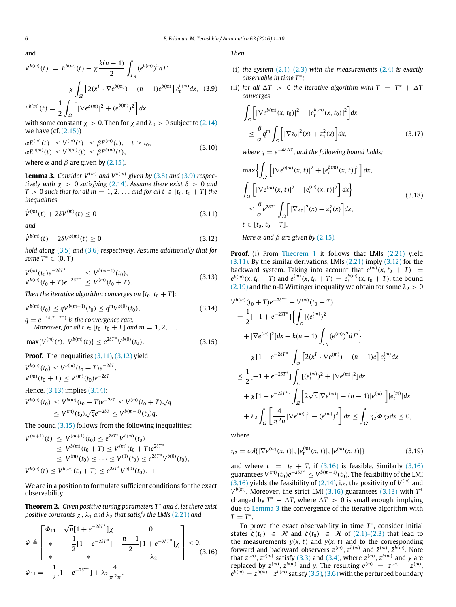and

$$
V^{b(m)}(t) = E^{b(m)}(t) - \chi \frac{k(n-1)}{2} \int_{\Gamma_N} (e^{b(m)})^2 d\Gamma
$$

$$
- \chi \int_{\Omega} \left[ 2(x^T \cdot \nabla e^{b(m)}) + (n-1)e^{b(m)} \right] e_t^{b(m)} dx, (3.9)
$$

$$
E^{b(m)}(t) = \frac{1}{2} \int_{\Omega} \left[ |\nabla e^{b(m)}|^2 + (e_t^{b(m)})^2 \right] dx
$$

with some constant  $\chi > 0$ . Then for  $\chi$  and  $\lambda_0 > 0$  subject to [\(2.14\)](#page-2-5) we have (cf. [\(2.15\)\)](#page-2-4)

$$
\alpha E^{(m)}(t) \le V^{(m)}(t) \le \beta E^{(m)}(t), \quad t \ge t_0,
$$
  
\n
$$
\alpha E^{b(m)}(t) \le V^{b(m)}(t) \le \beta E^{b(m)}(t),
$$
  
\nwhere  $\alpha$  and  $\beta$  are given by (2.15).

<span id="page-5-7"></span>**Lemma 3.** Consider  $V^{(m)}$  and  $V^{b(m)}$  given by [\(3.8\)](#page-4-5) and [\(3.9\)](#page-5-0) respec*tively with*  $\chi > 0$  *satisfying* [\(2.14\)](#page-2-5)*. Assume there exist*  $\delta > 0$  *and T* > 0 *such that for all m* = 1, 2, ... *and for all t*  $\in$  [ $t_0$ ,  $t_0$  + *T*] *the inequalities*

$$
\dot{V}^{(m)}(t) + 2\delta V^{(m)}(t) \le 0
$$
\n(3.11)

*and*

$$
\dot{V}^{b(m)}(t) - 2\delta V^{b(m)}(t) \ge 0
$$
\n(3.12)

*hold along* [\(3.5\)](#page-4-3) and [\(3.6\)](#page-4-4) *respectively. Assume additionally that for some*  $T^* \in (0, T)$ 

$$
V^{(m)}(t_0)e^{-2\delta T^*} \leq V^{b(m-1)}(t_0),
$$
  
\n
$$
V^{b(m)}(t_0+T)e^{-2\delta T^*} \leq V^{(m)}(t_0+T).
$$
\n(3.13)

*Then the iterative algorithm converges on*  $[t_0, t_0 + T]$ *:* 

$$
V^{b(m)}(t_0) \le q V^{b(m-1)}(t_0) \le q^m V^{b(0)}(t_0),
$$
  
 
$$
q = e^{-4\delta(T - T^*)} \text{ is the convergence rate.}
$$
 (3.14)

Moreover, for all 
$$
t \in [t_0, t_0 + T]
$$
 and  $m = 1, 2, ...$ 

$$
\max\{V^{(m)}(t),\ V^{b(m)}(t)\}\leq e^{2\delta T^*}V^{b(0)}(t_0). \tag{3.15}
$$

# **Proof.** The inequalities [\(3.11\),](#page-5-1) [\(3.12\)](#page-5-2) yield

 $V^{b(m)}(t_0) \leq V^{b(m)}(t_0 + T)e^{-2\delta T}$ ,  $V^{(m)}(t_0+T) \leq V^{(m)}(t_0)e^{-2\delta T}$ .

# Hence, [\(3.13\)](#page-5-3) implies [\(3.14\):](#page-5-4)

$$
V^{b(m)}(t_0) \le V^{b(m)}(t_0+T)e^{-2\delta T} \le V^{(m)}(t_0+T)\sqrt{q}
$$
  
 
$$
\le V^{(m)}(t_0)\sqrt{q}e^{-2\delta T} \le V^{b(m-1)}(t_0)q.
$$

The bound  $(3.15)$  follows from the following inequalities:

$$
V^{(m+1)}(t) \leq V^{(m+1)}(t_0) \leq e^{2\delta T^*} V^{b(m)}(t_0)
$$
  
\n
$$
\leq V^{b(m)}(t_0 + T) \leq V^{(m)}(t_0 + T) e^{2\delta T^*}
$$
  
\n
$$
\leq V^{(m)}(t_0) \leq \cdots \leq V^{(1)}(t_0) \leq e^{2\delta T^*} V^{b(0)}(t_0),
$$
  
\n
$$
V^{b(m)}(t) \leq V^{b(m)}(t_0 + T) \leq e^{2\delta T^*} V^{b(0)}(t_0). \quad \Box
$$

We are in a position to formulate sufficient conditions for the exact observability:

<span id="page-5-10"></span>**Theorem 2.** *Given positive tuning parameters T* <sup>∗</sup> *and* δ*, let there exist positive constants*  $\chi$ ,  $\lambda_1$  *and*  $\lambda_2$  *that satisfy the LMIs* [\(2.21\)](#page-3-3) *and* 

$$
\Phi \triangleq \begin{bmatrix}\n\Phi_{11} & \sqrt{n} [1 + e^{-2\delta T^*}] \chi & 0 \\
\ast & -\frac{1}{2} [1 - e^{-2\delta T^*}] & \frac{n-1}{2} [1 + e^{-2\delta T^*}] \chi \\
\ast & \ast & -\lambda_2\n\end{bmatrix} < 0.
$$
\n(3.16)\n
$$
\Phi_{11} = -\frac{1}{2} [1 - e^{-2\delta T^*}] + \lambda_2 \frac{4}{\pi^2 n}.
$$

<span id="page-5-0"></span>*Then*

- (i) *the system* [\(2.1\)](#page-1-0)*–*[\(2.3\)](#page-1-5) *with the measurements* [\(2.4\)](#page-1-9) *is exactly observable in time T* <sup>∗</sup> *;*
- (ii) *for all*  $\Delta T > 0$  *the iterative algorithm with*  $T = T^* + \Delta T$ *converges*

$$
\int_{\Omega} \left[ |\nabla e^{b(m)}(x, t_0)|^2 + [e_t^{b(m)}(x, t_0)]^2 \right] dx
$$
\n
$$
\leq \frac{\beta}{\alpha} q^m \int_{\Omega} \left[ |\nabla z_0|^2(x) + z_1^2(x) \right] dx, \tag{3.17}
$$

<span id="page-5-11"></span><span id="page-5-9"></span>where  $q = e^{-4\delta \Delta T}$ , and the following bound holds:

$$
\max \left\{ \int_{\Omega} \left[ |\nabla e^{b(m)}(x, t)|^2 + [e_t^{b(m)}(x, t)]^2 \right] dx, \right\}\n\int_{\Omega} \left[ |\nabla e^{(m)}(x, t)|^2 + [e_t^{(m)}(x, t)]^2 \right] dx \right\}\n\leq \frac{\beta}{\alpha} e^{2\delta T^*} \int_{\Omega} \left[ |\nabla z_0|^2(x) + z_1^2(x) \right] dx,\nt \in [t_0, t_0 + T].
$$
\n(3.18)

<span id="page-5-1"></span>*Here*  $\alpha$  *and*  $\beta$  *are given by* [\(2.15\)](#page-2-4)*.* 

<span id="page-5-3"></span><span id="page-5-2"></span>**Proof.** (i) From [Theorem 1](#page-3-5) it follows that LMIs [\(2.21\)](#page-3-3) yield  $(3.11)$ . By the similar derivations, LMIs  $(2.21)$  imply  $(3.12)$  for the backward system. Taking into account that  $e^{(m)}(x, t_0 + T) =$  $e^{b(m)}(x, t_0 + T)$  and  $e^{(m)}_t(x, t_0 + T) = e^{b(m)}_t(x, t_0 + T)$ , the bound [\(2.19\)](#page-3-2) and the n-D Wirtinger inequality we obtain for some  $\lambda_2 > 0$ 

<span id="page-5-5"></span><span id="page-5-4"></span>
$$
V^{b(m)}(t_0 + T)e^{-2\delta T^*} - V^{(m)}(t_0 + T)
$$
  
\n
$$
= \frac{1}{2}[-1 + e^{-2\delta T^*}]\Biggl\{\int_{\Omega} [(e_t^{(m)})^2 + |\nabla e^{(m)}|^2]dx + k(n - 1)\int_{\Gamma_N} (e^{(m)})^2 d\Gamma\Biggr\}
$$
  
\n
$$
- \chi[1 + e^{-2\delta T^*}]\int_{\Omega} [2(x^T \cdot \nabla e^{(m)}) + (n - 1)e]e_t^{(m)} dx
$$
  
\n
$$
\leq \frac{1}{2}[-1 + e^{-2\delta T^*}]\int_{\Omega} [(e_t^{(m)})^2 + |\nabla e^{(m)}|^2]dx
$$
  
\n
$$
+ \chi[1 + e^{-2\delta T^*}]\int_{\Omega} [2\sqrt{n}|\nabla e^{(m)}| + (n - 1)|e^{(m)}|\Big] |e_t^{(m)}| dx
$$
  
\n
$$
+ \lambda_2 \int_{\Omega} \left[\frac{4}{\pi^2 n} |\nabla e^{(m)}|^2 - (e^{(m)})^2\right] dx \leq \int_{\Omega} \eta_2^T \Phi \eta_2 dx \leq 0,
$$

where

$$
\eta_2 = \text{col}\{|\nabla e^{(m)}(x,t)|, |e_t^{(m)}(x,t)|, |e^{(m)}(x,t)|\}\tag{3.19}
$$

<span id="page-5-8"></span>and where  $t = t_0 + T$ , if [\(3.16\)](#page-5-6) is feasible. Similarly (3.16) guarantees  $V^{(m)}(t_0)e^{-2\delta T^*} \leq V^{b(m-1)}(t_0)$ . The feasibility of the LMI  $(3.16)$  yields the feasibility of  $(2.14)$ , i.e. the positivity of  $V^{(m)}$  and  $V^{b(m)}$ . Moreover, the strict LMI [\(3.16\)](#page-5-6) guarantees [\(3.13\)](#page-5-3) with  $T^*$ changed by  $T^* - \Delta T$ , where  $\Delta T > 0$  is small enough, implying due to [Lemma 3](#page-5-7) the convergence of the iterative algorithm with  $T = T^*$ .

<span id="page-5-6"></span>To prove the exact observability in time *T* ∗ , consider initial states  $\zeta(t_0) \in \mathcal{H}$  and  $\bar{\zeta}(t_0) \in \mathcal{H}$  of [\(2.1\)–\(2.3\)](#page-1-0) that lead to the measurements  $y(x, t)$  and  $\bar{y}(x, t)$  and to the corresponding forward and backward observers  $z^{(m)}$ ,  $z^{b(m)}$  and  $\bar{z}^{(m)}$ ,  $\bar{z}^{b(m)}$ . Note that  $\bar{z}^{(m)}$ ,  $\bar{z}^{b(m)}$  satisfy [\(3.3\)](#page-4-6) and [\(3.4\),](#page-4-7) where  $z^{(m)}$ ,  $z^{b(m)}$  and y are replaced by  $\bar{z}^{(m)}$ ,  $\bar{z}^{b(m)}$  and  $\bar{y}$ . The resulting  $e^{(m)} = z^{(m)} - \bar{z}^{(m)}$ ,  $e^{b(m)} = z^{b(m)} - \bar{z}^{b(m)}$  satisfy [\(3.5\),](#page-4-3) [\(3.6\)](#page-4-4) with the perturbed boundary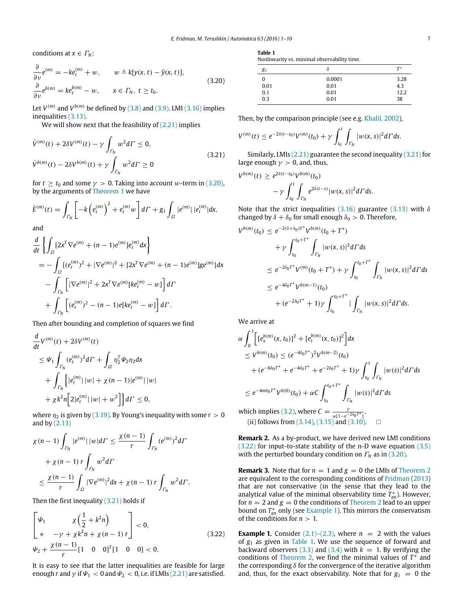conditions at  $x \in \Gamma_N$ :

$$
\frac{\partial}{\partial v}e^{(m)} = -ke_t^{(m)} + w, \qquad w \triangleq k[y(x, t) - \bar{y}(x, t)],
$$
  
\n
$$
\frac{\partial}{\partial v}e^{b(m)} = ke_t^{b(m)} - w, \qquad x \in \Gamma_N, t \ge t_0.
$$
\n(3.20)

Let  $V^{(m)}$  and  $V^{b(m)}$  be defined by  $(3.8)$  and  $(3.9)$ . LMI  $(3.16)$  implies inequalities [\(3.13\).](#page-5-3)

We will show next that the feasibility of  $(2.21)$  implies

$$
\dot{V}^{(m)}(t) + 2\delta V^{(m)}(t) - \gamma \int_{\Gamma_N} w^2 d\Gamma \le 0,
$$
\n
$$
\dot{V}^{b(m)}(t) - 2\delta V^{b(m)}(t) + \gamma \int_{\Gamma_N} w^2 d\Gamma \ge 0
$$
\n(3.21)

for  $t \ge t_0$  and some  $\gamma > 0$ . Taking into account w-term in [\(3.20\),](#page-6-0) by the arguments of [Theorem 1](#page-3-5) we have

$$
\dot{E}^{(m)}(t) = \int_{\Gamma_N} \left[ -k \left( e_t^{(m)} \right)^2 + e_t^{(m)} w \right] d\Gamma + g_1 \int_{\Omega} |e^{(m)}| \, |e_t^{(m)}| dx,
$$

and

$$
\frac{d}{dt} \left\{ \int_{\Omega} [2x^T \nabla e^{(m)} + (n-1)e^{(m)}] e_t^{(m)} dx \right\}
$$
\n
$$
= - \int_{\Omega} \{ (e_t^{(m)})^2 + |\nabla e^{(m)}|^2 + [2x^T \nabla e^{(m)} + (n-1)e^{(m)}] g e^{(m)} \} dx
$$
\n
$$
- \int_{\Gamma_N} \left[ |\nabla e^{(m)}|^2 + 2x^T \nabla e^{(m)} [k e_t^{(m)} - w] \right] d\Gamma
$$
\n
$$
+ \int_{\Gamma_N} \left[ (e_t^{(m)})^2 - (n-1)e[k e_t^{(m)} - w] \right] d\Gamma.
$$

Then after bounding and completion of squares we find

$$
\frac{d}{dt}V^{(m)}(t) + 2\delta V^{(m)}(t) \n\leq \Psi_1 \int_{\Gamma_N} (e_t^{(m)})^2 d\Gamma + \int_{\Omega} \eta_2^T \Psi_2 \eta_2 dx \n+ \int_{\Gamma_N} |e_t^{(m)}| |w| + \chi (n-1) |e^{(m)}| |w| \n+ \chi k^2 n \Big[ 2|e_t^{(m)}| |w| + w^2 \Big] \Big\} d\Gamma \leq 0,
$$

where  $\eta_2$  is given by [\(3.19\).](#page-5-8) By Young's inequality with some  $r > 0$ and by  $(2.13)$ 

$$
\begin{aligned} \chi(n-1) \int_{\Gamma_N} |e^{(m)}| \, |w| d\Gamma &\leq \frac{\chi(n-1)}{r} \int_{\Gamma_N} (e^{(m)})^2 d\Gamma \\ &+ \chi(n-1) \, r \int_{\Gamma_N} w^2 d\Gamma \\ &\leq \frac{\chi(n-1)}{r} \int_{\Omega} |\nabla e^{(m)}|^2 d\mathbf{x} + \chi(n-1) \, r \int_{\Gamma_N} w^2 d\Gamma. \end{aligned}
$$

Then the first inequality [\(3.21\)](#page-6-1) holds if

$$
\begin{bmatrix}\n\Psi_1 & \chi\left(\frac{1}{2} + k^2 n\right) \\
* & -\gamma + \chi k^2 n + \chi(n-1) r\n\end{bmatrix} < 0,
$$
\n(3.22)\n
$$
\Psi_2 + \frac{\chi(n-1)}{r} \begin{bmatrix} 1 & 0 & 0 \end{bmatrix}^T \begin{bmatrix} 1 & 0 & 0 \end{bmatrix} < 0.
$$

It is easy to see that the latter inequalities are feasible for large enough *r* and  $\gamma$  if  $\Psi_1 < 0$  and  $\Psi_2 < 0$ , i.e. if LMIs [\(2.21\)](#page-3-3) are satisfied.

<span id="page-6-4"></span>

| ۰. |  |
|----|--|

<span id="page-6-0"></span>Nonlinearity vs. minimal observability time.

| $g_1$ | Ω      | $T^*$ |
|-------|--------|-------|
| 0     | 0.0001 | 3.28  |
| 0.01  | 0.01   | 4.3   |
| 0.1   | 0.01   | 12.2  |
| 0.3   | 0.01   | 38    |

Then, by the comparison principle (see e.g. [Khalil,](#page-9-19) [2002\)](#page-9-19),

<span id="page-6-1"></span>
$$
V^{(m)}(t) \leq e^{-2\delta(t-t_0)} V^{(m)}(t_0) + \gamma \int_{t_0}^t \int_{\Gamma_N} |w(x,s)|^2 d\Gamma ds.
$$

Similarly, LMIs [\(2.21\)](#page-3-3) guarantee the second inequality [\(3.21\)](#page-6-1) for large enough  $\gamma > 0$ , and, thus,

$$
(t) \ge e^{2\delta(t-t_0)} V^{b(m)}(t_0)
$$
  
-  $\gamma \int_{t_0}^t \int_{\Gamma_N} e^{2\delta(t-s)} |w(x,s)|^2 d\Gamma ds.$ 

Note that the strict inequalities [\(3.16\)](#page-5-6) guarantee [\(3.13\)](#page-5-3) with  $\delta$ changed by  $\delta + \delta_0$  for small enough  $\delta_0 > 0$ . Therefore,

$$
V^{b(m)}(t_0) \leq e^{-2(\delta + \delta_0)T^*} V^{b(m)}(t_0 + T^*)
$$
  
+  $\gamma \int_{t_0}^{t_0 + T^*} \int_{\Gamma_N} |w(x, s)|^2 d\Gamma ds$   
 $\leq e^{-2\delta_0 T^*} V^{(m)}(t_0 + T^*) + \gamma \int_{t_0}^{t_0 + T^*} \int_{\Gamma_N} |w(x, s)|^2 d\Gamma ds$   
 $\leq e^{-4\delta_0 T^*} V^{b(m-1)}(t_0)$   
+  $(e^{-2\delta_0 T^*} + 1)\gamma \int_{t_0}^{t_0 + T^*} |\int_{\Gamma_N} |w(x, s)|^2 d\Gamma ds.$ 

We arrive at

 $V^{b(m)}$ 

*b*(*m*)

$$
\alpha \int_0^1 \left[ e_x^{b(m)}(x, t_0) \right]^2 + \left[ e_t^{b(m)}(x, t_0) \right]^2 \right] dx
$$
  
\n
$$
\le V^{b(m)}(t_0) \le (e^{-4\delta_0 T^*})^2 V^{b(m-2)}(t_0)
$$
  
\n
$$
+ (e^{-6\delta_0 T^*} + e^{-4\delta_0 T^*} + e^{-2\delta_0 T^*} + 1) \gamma \int_{t_0}^t \int_{\Gamma_N} |w(s)|^2 d\Gamma ds
$$
  
\n
$$
\le e^{-4m\delta_0 T^*} V^{b(0)}(t_0) + \alpha C \int_{t_0}^{t_0 + T^*} \int_{\Gamma_N} |w(s)|^2 d\Gamma ds
$$
  
\nwhich implies (3.2), where  $C = \frac{\gamma}{\alpha[1 - e^{-2\delta_0 T^*}]}$ .  
\n(ii) follows from (3.14), (3.15) and (3.10).

**Remark 2.** As a by-product, we have derived new LMI conditions [\(3.22\)](#page-6-2) for input-to-state stability of the n-D wave equation [\(3.5\)](#page-4-3) with the perturbed boundary condition on  $\Gamma_N$  as in [\(3.20\).](#page-6-0)

**Remark 3.** Note that for  $n = 1$  and  $g = 0$  the LMIs of [Theorem 2](#page-5-10) are equivalent to the corresponding conditions of [Fridman](#page-9-6) [\(2013\)](#page-9-6) that are not conservative (in the sense that they lead to the analytical value of the minimal observability time  $\overline{T}_{an}^*$ ). However, for  $n = 2$  and  $g = 0$  the conditions of [Theorem 2](#page-5-10) lead to an upper **bound on**  $T_{an}^*$  **only (see [Example 1\)](#page-6-3). This mirrors the conservatism** of the conditions for  $n > 1$ .

<span id="page-6-3"></span><span id="page-6-2"></span>**Example 1.** Consider  $(2.1)$ – $(2.3)$ , where  $n = 2$  with the values of *g*<sup>1</sup> as given in [Table 1.](#page-6-4) We use the sequence of forward and backward observers  $(3.3)$  and  $(3.4)$  with  $k = 1$ . By verifying the conditions of [Theorem 2,](#page-5-10) we find the minimal values of  $T^*$  and the corresponding  $\delta$  for the convergence of the iterative algorithm and, thus, for the exact observability. Note that for  $g_1 = 0$  the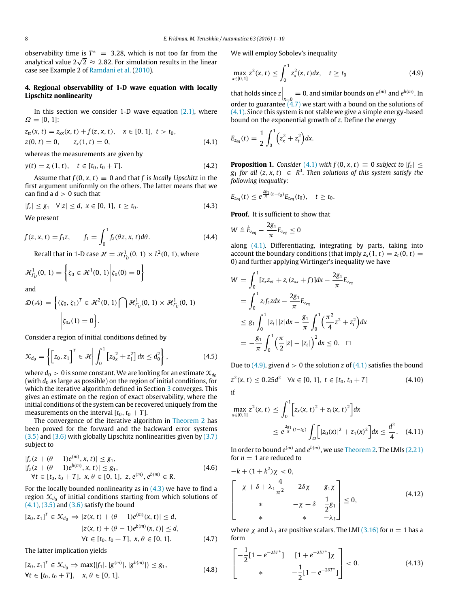observability time is  $T^* = 3.28$ , which is not too far from the  $\sigma$ observability time is  $I^* = 3.28$ , which is not too far from the linear analytical value  $2\sqrt{2} \approx 2.82$ . For simulation results in the linear case see Example 2 of [Ramdani](#page-9-13) [et al.](#page-9-13) [\(2010\)](#page-9-13).

# <span id="page-7-0"></span>**4. Regional observability of 1-D wave equation with locally Lipschitz nonlinearity**

In this section we consider 1-D wave equation  $(2.1)$ , where  $Ω = [0, 1]$ :

$$
z_{tt}(x, t) = z_{xx}(x, t) + f(z, x, t), \quad x \in [0, 1], \ t > t_0,
$$
  
\n
$$
z(0, t) = 0, \qquad z_x(1, t) = 0,
$$
\n(4.1)

whereas the measurements are given by

$$
y(t) = z_t(1, t), \quad t \in [t_0, t_0 + T]. \tag{4.2}
$$

Assume that  $f(0, x, t) \equiv 0$  and that *f* is *locally Lipschitz* in the first argument uniformly on the others. The latter means that we can find a  $d > 0$  such that

$$
|f_z| \le g_1 \quad \forall |z| \le d, \ x \in [0, 1], \ t \ge t_0. \tag{4.3}
$$

We present

$$
f(z, x, t) = f_1 z, \qquad f_1 = \int_0^1 f_z(\theta z, x, t) d\theta.
$$
 (4.4)

Recall that in 1-D case  $\mathcal{H} = \mathcal{H}_{I_D}^1(0, 1) \times L^2(0, 1)$ , where

$$
\mathcal{H}_{\varGamma_D}^1(0, 1) = \left\{ \zeta_0 \in \mathcal{H}^1(0, 1) \middle| \zeta_0(0) = 0 \right\}
$$
 and

and

$$
\mathcal{D}(\mathcal{A}) = \left\{ (\zeta_0, \zeta_1)^T \in \mathcal{H}^2(0, 1) \bigcap \mathcal{H}^1_{\Gamma_D}(0, 1) \times \mathcal{H}^1_{\Gamma_D}(0, 1) \right\}
$$

$$
\left| \zeta_{0x}(1) = 0 \right\}.
$$

Consider a region of initial conditions defined by

$$
\mathcal{X}_{d_0} = \left\{ \left[ z_0, z_1 \right]^T \in \mathcal{H} \middle| \int_0^1 \left[ z_0 z + z_1^2 \right] dx \leq d_0^2 \right\},\tag{4.5}
$$

where  $d_0 > 0$  is some constant. We are looking for an estimate  $\mathcal{X}_{d_0}$ (with *d*<sup>0</sup> as large as possible) on the region of initial conditions, for which the iterative algorithm defined in Section [3](#page-4-8) converges. This gives an estimate on the region of exact observability, where the initial conditions of the system can be recovered uniquely from the measurements on the interval  $[t_0, t_0 + T]$ .

The convergence of the iterative algorithm in [Theorem 2](#page-5-10) has been proved for the forward and the backward error systems [\(3.5\)](#page-4-3) and [\(3.6\)](#page-4-4) with globally Lipschitz nonlinearities given by [\(3.7\)](#page-4-9) subject to

$$
|f_z(z + (\theta - 1)e^{(m)}, x, t)| \leq g_1,|f_z(z + (\theta - 1)e^{b(m)}, x, t)| \leq g_1,\forall t \in [t_0, t_0 + T], x, \theta \in [0, 1], z, e^{(m)}, e^{b(m)} \in R.
$$
\n(4.6)

For the locally bounded nonlinearity as in  $(4.3)$  we have to find a region  $\mathfrak{X}_{d_0}$  of initial conditions starting from which solutions of  $(4.1)$ ,  $(3.5)$  and  $(3.6)$  satisfy the bound

$$
[z_0, z_1]^T \in \mathcal{X}_{d_0} \Rightarrow |z(x, t) + (\theta - 1)e^{(m)}(x, t)| \le d,
$$
  
\n
$$
|z(x, t) + (\theta - 1)e^{b(m)}(x, t)| \le d,
$$
  
\n
$$
\forall t \in [t_0, t_0 + T], x, \theta \in [0, 1].
$$
\n(4.7)

The latter implication yields

$$
[z_0, z_1]^T \in \mathcal{X}_{d_0} \Rightarrow \max\{|f_1|, |g^{(m)}|, |g^{b(m)}|\} \le g_1,
$$
  
\n
$$
\forall t \in [t_0, t_0 + T], \quad x, \theta \in [0, 1].
$$
\n(4.8)

We will employ Sobolev's inequality

<span id="page-7-4"></span>
$$
\max_{x \in [0,1]} z^2(x,t) \le \int_0^1 z_x^2(x,t) dx, \quad t \ge t_0
$$
\n(4.9)

that holds since  $z\Big|_{x=0} = 0$ , and similar bounds on  $e^{(m)}$  and  $e^{b(m)}$ . In order to guarantee [\(4.7\)](#page-7-3) we start with a bound on the solutions of  $(4.1)$ . Since this system is not stable we give a simple energy-based bound on the exponential growth of *z*. Define the energy

<span id="page-7-2"></span>
$$
E_{z_{eq}}(t) = \frac{1}{2} \int_0^1 \left( z_x^2 + z_t^2 \right) dx.
$$

<span id="page-7-11"></span>**Proposition 1.** *Consider* [\(4.1\)](#page-7-2) *with*  $f(0, x, t) \equiv 0$  *subject to*  $|f_z| \le$  $g_1$  *for all*  $(z, x, t) \in \mathbb{R}^3$ . Then solutions of this system satisfy the *following inequality:*

$$
E_{z_{eq}}(t) \leq e^{\frac{2g_1}{\pi}(t-t_0)} E_{z_{eq}}(t_0), \quad t \geq t_0.
$$

<span id="page-7-1"></span>**Proof.** It is sufficient to show that

$$
W \triangleq \dot{E}_{z_{eq}} - \frac{2g_1}{\pi} E_{z_{eq}} \leq 0
$$

along [\(4.1\).](#page-7-2) Differentiating, integrating by parts, taking into account the boundary conditions (that imply  $z_x(1, t) = z_t(0, t) =$ 0) and further applying Wirtinger's inequality we have

$$
W = \int_0^1 [z_x z_{xt} + z_t (z_{xx} + f)] dx - \frac{2g_1}{\pi} E_{z_{eq}}
$$
  
= 
$$
\int_0^1 z_t f_1 z dx - \frac{2g_1}{\pi} E_{z_{eq}}
$$
  

$$
\leq g_1 \int_0^1 |z_t| |z| dx - \frac{g_1}{\pi} \int_0^1 \left(\frac{\pi^2}{4} z^2 + z_t^2\right) dx
$$
  
= 
$$
-\frac{g_1}{\pi} \int_0^1 \left(\frac{\pi}{2} |z| - |z_t|\right)^2 dx \leq 0. \quad \Box
$$

<span id="page-7-8"></span><span id="page-7-7"></span>Due to  $(4.9)$ , given  $d > 0$  the solution *z* of  $(4.1)$  satisfies the bound  $z^2(x, t) \le 0.25d^2$   $\forall x \in [0, 1], t \in [t_0, t_0 + T]$  (4.10) if

<span id="page-7-5"></span>
$$
\max_{x \in [0,1]} z^2(x,t) \le \int_0^1 \left[ z_x(x,t)^2 + z_t(x,t)^2 \right] dx
$$
  
 
$$
\le e^{\frac{2g_1}{\pi} (t-t_0)} \int_{\Omega} \left[ |z_0(x)|^2 + z_1(x)^2 \right] dx \le \frac{d^2}{4}.
$$
 (4.11)

In order to bound  $e^{(m)}$  and  $e^{b(m)}$ , we use [Theorem 2.](#page-5-10) The LMIs [\(2.21\)](#page-3-3) for  $n = 1$  are reduced to

<span id="page-7-6"></span>
$$
-k + (1 + k2)\chi < 0,
$$
  

$$
\begin{bmatrix} -\chi + \delta + \lambda_1 \frac{4}{\pi^2} & 2\delta\chi & g_1\chi \\ * & -\chi + \delta & \frac{1}{2}g_1 \\ * & * & -\lambda_1 \end{bmatrix} \le 0,
$$
 (4.12)

<span id="page-7-3"></span>where  $\chi$  and  $\lambda_1$  are positive scalars. The LMI [\(3.16\)](#page-5-6) for  $n = 1$  has a form

<span id="page-7-10"></span><span id="page-7-9"></span>
$$
\begin{bmatrix} -\frac{1}{2} [1 - e^{-2\delta T^*}] & [1 + e^{-2\delta T^*}] \chi \\ * & -\frac{1}{2} [1 - e^{-2\delta T^*}] \end{bmatrix} < 0. \tag{4.13}
$$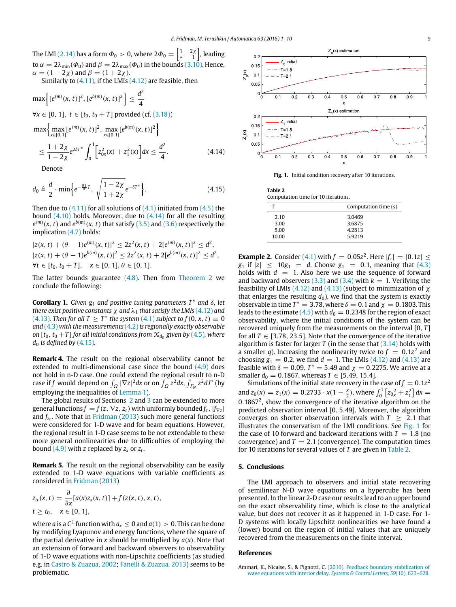The LMI [\(2.14\)](#page-2-5) has a form  $\varPhi_0>0$ , where 2 $\varPhi_0=\left\lceil\begin{smallmatrix}1&&2\chi\&1\end{smallmatrix}\right\rceil$ , leading to  $\alpha = 2\lambda_{\min}(\Phi_0)$  and  $\beta = 2\lambda_{\max}(\Phi_0)$  in the bounds [\(3.10\).](#page-5-9) Hence,  $\alpha = (1 - 2\chi)$  and  $\beta = (1 + 2\chi)$ .

Similarly to  $(4.11)$ , if the LMIs  $(4.12)$  are feasible, then

$$
\max \left\{ [e^{(m)}(x, t)]^2, [e^{b(m)}(x, t)]^2 \right\} \le \frac{d^2}{4}
$$
  
\n
$$
\forall x \in [0, 1], t \in [t_0, t_0 + T] \text{ provided (cf. (3.18))}
$$
  
\n
$$
\max \left\{ \max_{x \in [0, 1]} [e^{(m)}(x, t)]^2, \max_{x \in [0, 1]} [e^{b(m)}(x, t)]^2 \right\}
$$
  
\n
$$
\le \frac{1 + 2\chi}{1 - 2\chi} e^{2\delta T^*} \int_0^1 \left[ z_{0x}^2(x) + z_1^2(x) \right] dx \le \frac{d^2}{4}.
$$
\n(4.14)

Denote

$$
d_0 \triangleq \frac{d}{2} \cdot \min \left\{ e^{-\frac{g_1}{\pi}T}, \sqrt{\frac{1-2\chi}{1+2\chi}} e^{-\delta T^*} \right\}.
$$
 (4.15)

Then due to  $(4.11)$  for all solutions of  $(4.1)$  initiated from  $(4.5)$  the bound  $(4.10)$  holds. Moreover, due to  $(4.14)$  for all the resulting  $e^{(m)}(x,t)$  and  $e^{b(m)}(x,t)$  that satisfy [\(3.5\)](#page-4-3) and [\(3.6\)](#page-4-4) respectively the implication [\(4.7\)](#page-7-3) holds:

$$
|z(x, t) + (\theta - 1)e^{(m)}(x, t)|^2 \le 2z^2(x, t) + 2[e^{(m)}(x, t)]^2 \le d^2,
$$
  
\n
$$
|z(x, t) + (\theta - 1)e^{b(m)}(x, t)|^2 \le 2z^2(x, t) + 2[e^{b(m)}(x, t)]^2 \le d^2,
$$
  
\n
$$
\forall t \in [t_0, t_0 + T], \quad x \in [0, 1], \theta \in [0, 1].
$$

The latter bounds guarantee  $(4.8)$ . Then from [Theorem 2](#page-5-10) we conclude the following:

**Corollary 1.** *Given*  $g_1$  *and positive tuning parameters T<sup>∗</sup> and δ, let there exist positive constants*  $\chi$  *and*  $\lambda_1$  *that satisfy the LMIs* [\(4.12\)](#page-7-6) *and* [\(4.13\)](#page-7-10)*.* Then for all  $T \geq T^*$  the system [\(4.1\)](#page-7-2) subject to  $f(0, x, t) \equiv 0$ *and* [\(4.3\)](#page-7-1) *with the measurements* [\(4.2\)](#page-7-11)*is regionally exactly observable on*  $[t_0, t_0 + T]$  for all initial conditions from  $\mathcal{X}_{d_0}$  given by [\(4.5\)](#page-7-7), where *d*<sup>0</sup> *is defined by* [\(4.15\)](#page-8-3)*.*

<span id="page-8-1"></span>**Remark 4.** The result on the regional observability cannot be extended to multi-dimensional case since the bound [\(4.9\)](#page-7-4) does not hold in n-D case. One could extend the regional result to n-D case if *f* would depend on  $\int_{\Omega} |\nabla z|^2 dx$  or on  $\int_{\Omega} z^2 dx$ ,  $\int_{\Gamma_N} z^2 d\Gamma$  (by employing the inequalities of [Lemma 1\)](#page-2-8).

The global results of Sections [2](#page-1-10) and [3](#page-4-8) can be extended to more general functions  $f = f(z, \nabla z, z_t)$  with uniformly bounded  $f_z$ ,  $|f_{\nabla z}|$ and *f<sup>z</sup><sup>t</sup>* . Note that in [Fridman](#page-9-6) [\(2013\)](#page-9-6) such more general functions were considered for 1-D wave and for beam equations. However, the regional result in 1-D case seems to be not extendable to these more general nonlinearities due to difficulties of employing the bound  $(4.9)$  with  $z$  replaced by  $z_x$  or  $z_t$ .

**Remark 5.** The result on the regional observability can be easily extended to 1-D wave equations with variable coefficients as considered in [Fridman](#page-9-6) [\(2013\)](#page-9-6)

$$
z_{tt}(x, t) = \frac{\partial}{\partial x}[a(x)z_x(x, t)] + f(z(x, t), x, t),
$$
  

$$
t \ge t_0, \quad x \in [0, 1],
$$

where  $a$  is a  $C^1$  function with  $a_x\leq 0$  and  $a(1)>0.$  This can be done by modifying Lyapunov and energy functions, where the square of the partial derivative in *x* should be multiplied by  $a(x)$ . Note that an extension of forward and backward observers to observability of 1-D wave equations with non-Lipschitz coefficients (as studied e.g. in [Castro](#page-9-20) [&](#page-9-20) [Zuazua,](#page-9-20) [2002;](#page-9-20) [Fanelli](#page-9-21) [&](#page-9-21) [Zuazua,](#page-9-21) [2013\)](#page-9-21) seems to be problematic.

<span id="page-8-4"></span>

<span id="page-8-2"></span>Fig. 1. Initial condition recovery after 10 iterations.

<span id="page-8-5"></span><span id="page-8-3"></span>

| Table 2<br>Computation time for 10 iterations. |                      |  |  |
|------------------------------------------------|----------------------|--|--|
|                                                | Computation time (s) |  |  |
| 2.10                                           | 3.0469               |  |  |
| 3.00                                           | 3.6875               |  |  |
| 5.00                                           | 4.2813               |  |  |
| 10.00                                          | 5.9219               |  |  |
|                                                |                      |  |  |

**Example 2.** Consider [\(4.1\)](#page-7-2) with  $f = 0.05z^2$ . Here  $|f_z| = |0.1z| \le$ *g*<sub>1</sub> if  $|z| \le 10g_1 = d$ . Choose  $g_1 = 0.1$ , meaning that [\(4.3\)](#page-7-1) holds with  $d = 1$ . Also here we use the sequence of forward and backward observers  $(3.3)$  and  $(3.4)$  with  $k = 1$ . Verifying the feasibility of LMIs [\(4.12\)](#page-7-6) and [\(4.13\)](#page-7-10) (subject to minimization of  $\chi$ that enlarges the resulting  $d_0$ ), we find that the system is exactly observable in time  $T^* = 3.78$ , where  $\delta = 0.1$  and  $\chi = 0.1803$ . This leads to the estimate  $(4.5)$  with  $d_0 = 0.2348$  for the region of exact observability, where the initial conditions of the system can be recovered uniquely from the measurements on the interval [0, *T* ] for all  $T \in [3.78, 23.5]$ . Note that the convergence of the iterative algorithm is faster for larger  $T$  (in the sense that  $(3.14)$  holds with a smaller *q*). Increasing the nonlinearity twice to  $f = 0.1z^2$  and choosing  $g_1 = 0.2$ , we find  $d = 1$ . The LMIs [\(4.12\)](#page-7-6) and [\(4.13\)](#page-7-10) are feasible with  $\delta = 0.09$ ,  $T^* = 5.49$  and  $\chi = 0.2275$ . We arrive at a smaller  $d_0 = 0.1867$ , whereas  $T \in [5.49, 15.4]$ .

Simulations of the initial state recovery in the case of  $f = 0.1z^2$ and  $z_0(x) = z_1(x) = 0.2733 \cdot x(1 - \frac{x}{2})$ , where  $\int_0^1 \left[ z_0^2 + z_1^2 \right] dx =$  $0.1867<sup>2</sup>$ , show the convergence of the iterative algorithm on the predicted observation interval [0, 5.49]. Moreover, the algorithm converges on shorter observation intervals with  $T \geq 2.1$  that illustrates the conservatism of the LMI conditions. See [Fig. 1](#page-8-4) for the case of 10 forward and backward iterations with  $T = 1.8$  (no convergence) and  $T = 2.1$  (convergence). The computation times for 10 iterations for several values of *T* are given in [Table 2.](#page-8-5)

#### **5. Conclusions**

The LMI approach to observers and initial state recovering of semilinear N-D wave equations on a hypercube has been presented. In the linear 2-D case our results lead to an upper bound on the exact observability time, which is close to the analytical value, but does not recover it as it happened in 1-D case. For 1- D systems with locally Lipschitz nonlinearities we have found a (lower) bound on the region of initial values that are uniquely recovered from the measurements on the finite interval.

#### **References**

<span id="page-8-0"></span>Ammari, K., Nicaise, S., & Pignotti, C. [\(2010\). Feedback boundary stabilization of](http://refhub.elsevier.com/S0005-1098(15)00408-2/sbref1) wave equations with interior delay. *Systems & Control Letters*, *59*(10), 623–628.